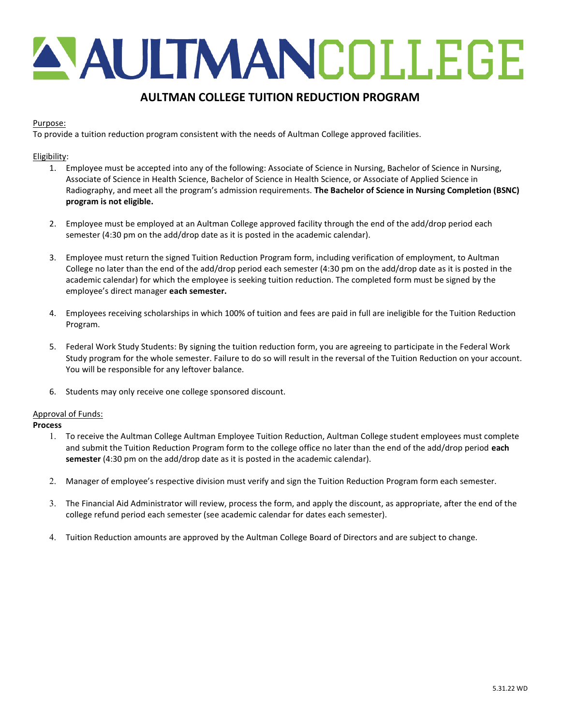# A AULTMANCOLLEGE

# AULTMAN COLLEGE TUITION REDUCTION PROGRAM

## Purpose:

To provide a tuition reduction program consistent with the needs of Aultman College approved facilities.

### Eligibility:

- 1. Employee must be accepted into any of the following: Associate of Science in Nursing, Bachelor of Science in Nursing, Associate of Science in Health Science, Bachelor of Science in Health Science, or Associate of Applied Science in Radiography, and meet all the program's admission requirements. The Bachelor of Science in Nursing Completion (BSNC) program is not eligible.
- 2. Employee must be employed at an Aultman College approved facility through the end of the add/drop period each semester (4:30 pm on the add/drop date as it is posted in the academic calendar).
- 3. Employee must return the signed Tuition Reduction Program form, including verification of employment, to Aultman College no later than the end of the add/drop period each semester (4:30 pm on the add/drop date as it is posted in the academic calendar) for which the employee is seeking tuition reduction. The completed form must be signed by the employee's direct manager each semester.
- 4. Employees receiving scholarships in which 100% of tuition and fees are paid in full are ineligible for the Tuition Reduction Program.
- 5. Federal Work Study Students: By signing the tuition reduction form, you are agreeing to participate in the Federal Work Study program for the whole semester. Failure to do so will result in the reversal of the Tuition Reduction on your account. You will be responsible for any leftover balance.
- 6. Students may only receive one college sponsored discount.

### Approval of Funds:

#### Process

- 1. To receive the Aultman College Aultman Employee Tuition Reduction, Aultman College student employees must complete and submit the Tuition Reduction Program form to the college office no later than the end of the add/drop period each semester (4:30 pm on the add/drop date as it is posted in the academic calendar).
- 2. Manager of employee's respective division must verify and sign the Tuition Reduction Program form each semester.
- 3. The Financial Aid Administrator will review, process the form, and apply the discount, as appropriate, after the end of the college refund period each semester (see academic calendar for dates each semester).
- 4. Tuition Reduction amounts are approved by the Aultman College Board of Directors and are subject to change.